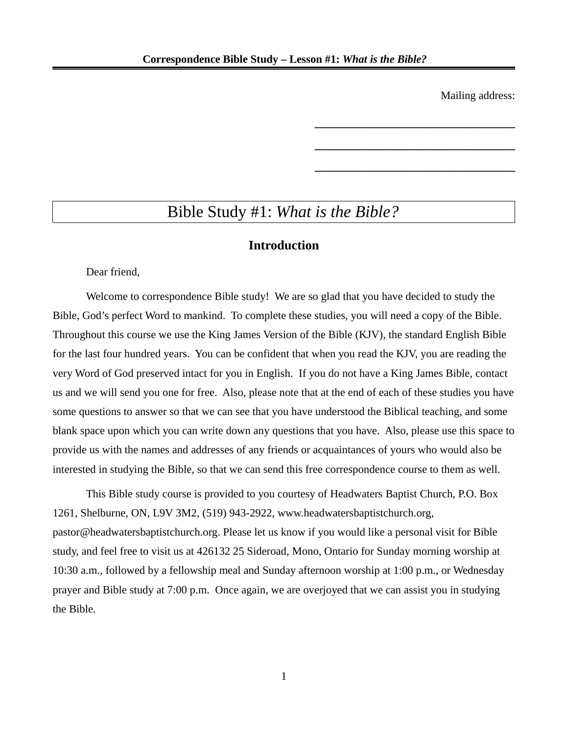Mailing address:

\_\_\_\_\_\_\_\_\_\_\_\_\_\_\_\_\_\_\_\_\_\_\_\_

\_\_\_\_\_\_\_\_\_\_\_\_\_\_\_\_\_\_\_\_\_\_\_\_

\_\_\_\_\_\_\_\_\_\_\_\_\_\_\_\_\_\_\_\_\_\_\_\_

# Bible Study #1: *What is the Bible?*

### **Introduction**

Dear friend,

Welcome to correspondence Bible study! We are so glad that you have decided to study the Bible, God's perfect Word to mankind. To complete these studies, you will need a copy of the Bible. Throughout this course we use the King James Version of the Bible (KJV), the standard English Bible for the last four hundred years. You can be confident that when you read the KJV, you are reading the very Word of God preserved intact for you in English. If you do not have a King James Bible, contact us and we will send you one for free. Also, please note that at the end of each of these studies you have some questions to answer so that we can see that you have understood the Biblical teaching, and some blank space upon which you can write down any questions that you have. Also, please use this space to provide us with the names and addresses of any friends or acquaintances of yours who would also be interested in studying the Bible, so that we can send this free correspondence course to them as well.

This Bible study course is provided to you courtesy of Headwaters Baptist Church, P.O. Box 1261, Shelburne, ON, L9V 3M2, (519) 943-2922, www.headwatersbaptistchurch.org, pastor@headwatersbaptistchurch.org. Please let us know if you would like a personal visit for Bible study, and feel free to visit us at 426132 25 Sideroad, Mono, Ontario for Sunday morning worship at 10:30 a.m., followed by a fellowship meal and Sunday afternoon worship at 1:00 p.m., or Wednesday prayer and Bible study at 7:00 p.m. Once again, we are overjoyed that we can assist you in studying the Bible.

1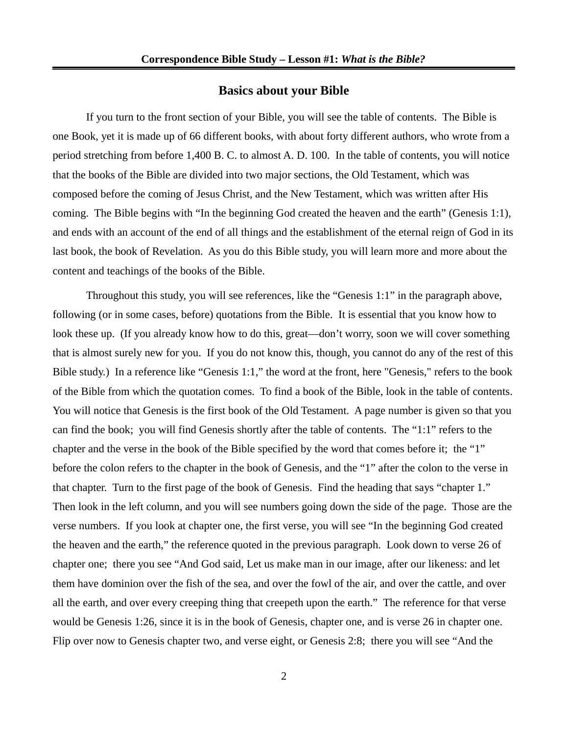#### **Basics about your Bible**

If you turn to the front section of your Bible, you will see the table of contents. The Bible is one Book, yet it is made up of 66 different books, with about forty different authors, who wrote from a period stretching from before 1,400 B. C. to almost A. D. 100. In the table of contents, you will notice that the books of the Bible are divided into two major sections, the Old Testament, which was composed before the coming of Jesus Christ, and the New Testament, which was written after His coming. The Bible begins with "In the beginning God created the heaven and the earth" (Genesis 1:1), and ends with an account of the end of all things and the establishment of the eternal reign of God in its last book, the book of Revelation. As you do this Bible study, you will learn more and more about the content and teachings of the books of the Bible.

Throughout this study, you will see references, like the "Genesis 1:1" in the paragraph above, following (or in some cases, before) quotations from the Bible. It is essential that you know how to look these up. (If you already know how to do this, great—don't worry, soon we will cover something that is almost surely new for you. If you do not know this, though, you cannot do any of the rest of this Bible study.) In a reference like "Genesis 1:1," the word at the front, here "Genesis," refers to the book of the Bible from which the quotation comes. To find a book of the Bible, look in the table of contents. You will notice that Genesis is the first book of the Old Testament. A page number is given so that you can find the book; you will find Genesis shortly after the table of contents. The "1:1" refers to the chapter and the verse in the book of the Bible specified by the word that comes before it; the "1" before the colon refers to the chapter in the book of Genesis, and the "1" after the colon to the verse in that chapter. Turn to the first page of the book of Genesis. Find the heading that says "chapter 1." Then look in the left column, and you will see numbers going down the side of the page. Those are the verse numbers. If you look at chapter one, the first verse, you will see "In the beginning God created the heaven and the earth," the reference quoted in the previous paragraph. Look down to verse 26 of chapter one; there you see "And God said, Let us make man in our image, after our likeness: and let them have dominion over the fish of the sea, and over the fowl of the air, and over the cattle, and over all the earth, and over every creeping thing that creepeth upon the earth." The reference for that verse would be Genesis 1:26, since it is in the book of Genesis, chapter one, and is verse 26 in chapter one. Flip over now to Genesis chapter two, and verse eight, or Genesis 2:8; there you will see "And the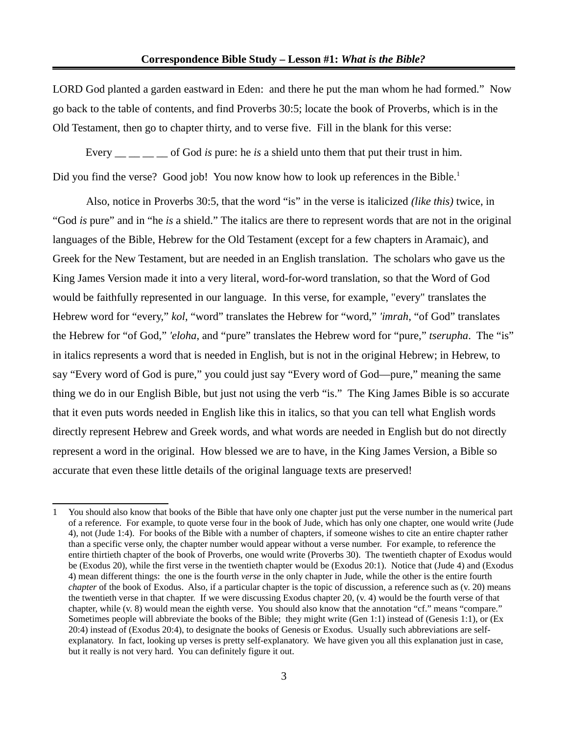LORD God planted a garden eastward in Eden: and there he put the man whom he had formed." Now go back to the table of contents, and find Proverbs 30:5; locate the book of Proverbs, which is in the Old Testament, then go to chapter thirty, and to verse five. Fill in the blank for this verse:

Every  $\frac{1}{1}$  \_ \_ \_ \_ \_ of God *is* pure: he *is* a shield unto them that put their trust in him. Did you find the verse? Good job! You now know how to look up references in the Bible.<sup>[1](#page-2-0)</sup>

Also, notice in Proverbs 30:5, that the word "is" in the verse is italicized *(like this)* twice, in "God *is* pure" and in "he *is* a shield." The italics are there to represent words that are not in the original languages of the Bible, Hebrew for the Old Testament (except for a few chapters in Aramaic), and Greek for the New Testament, but are needed in an English translation. The scholars who gave us the King James Version made it into a very literal, word-for-word translation, so that the Word of God would be faithfully represented in our language. In this verse, for example, "every" translates the Hebrew word for "every," *kol*, "word" translates the Hebrew for "word," *'imrah*, "of God" translates the Hebrew for "of God," *'eloha*, and "pure" translates the Hebrew word for "pure," *tserupha*. The "is" in italics represents a word that is needed in English, but is not in the original Hebrew; in Hebrew, to say "Every word of God is pure," you could just say "Every word of God—pure," meaning the same thing we do in our English Bible, but just not using the verb "is." The King James Bible is so accurate that it even puts words needed in English like this in italics, so that you can tell what English words directly represent Hebrew and Greek words, and what words are needed in English but do not directly represent a word in the original. How blessed we are to have, in the King James Version, a Bible so accurate that even these little details of the original language texts are preserved!

<span id="page-2-0"></span><sup>1</sup> You should also know that books of the Bible that have only one chapter just put the verse number in the numerical part of a reference. For example, to quote verse four in the book of Jude, which has only one chapter, one would write (Jude 4), not (Jude 1:4). For books of the Bible with a number of chapters, if someone wishes to cite an entire chapter rather than a specific verse only, the chapter number would appear without a verse number. For example, to reference the entire thirtieth chapter of the book of Proverbs, one would write (Proverbs 30). The twentieth chapter of Exodus would be (Exodus 20), while the first verse in the twentieth chapter would be (Exodus 20:1). Notice that (Jude 4) and (Exodus 4) mean different things: the one is the fourth *verse* in the only chapter in Jude, while the other is the entire fourth *chapter* of the book of Exodus. Also, if a particular chapter is the topic of discussion, a reference such as (v. 20) means the twentieth verse in that chapter. If we were discussing Exodus chapter 20, (v. 4) would be the fourth verse of that chapter, while (v. 8) would mean the eighth verse. You should also know that the annotation "cf." means "compare." Sometimes people will abbreviate the books of the Bible; they might write (Gen 1:1) instead of (Genesis 1:1), or (Ex 20:4) instead of (Exodus 20:4), to designate the books of Genesis or Exodus. Usually such abbreviations are selfexplanatory. In fact, looking up verses is pretty self-explanatory. We have given you all this explanation just in case, but it really is not very hard. You can definitely figure it out.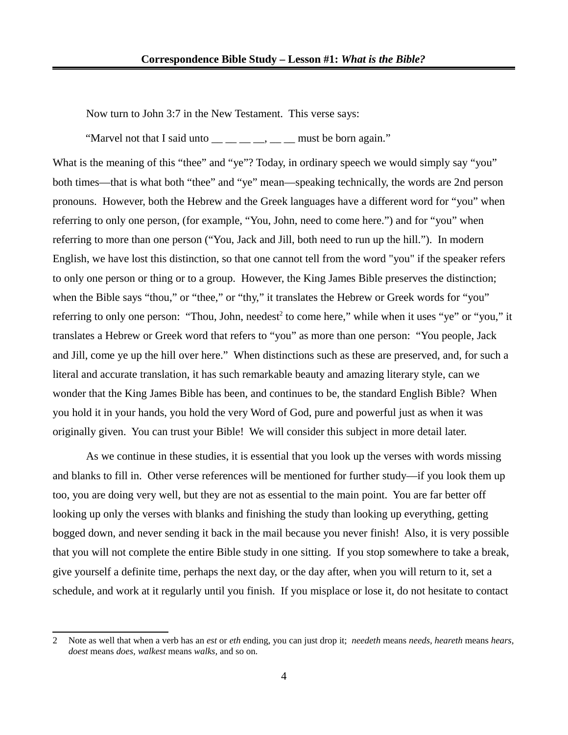Now turn to John 3:7 in the New Testament. This verse says:

"Marvel not that I said unto The same way to must be born again."

What is the meaning of this "thee" and "ye"? Today, in ordinary speech we would simply say "you" both times—that is what both "thee" and "ye" mean—speaking technically, the words are 2nd person pronouns. However, both the Hebrew and the Greek languages have a different word for "you" when referring to only one person, (for example, "You, John, need to come here.") and for "you" when referring to more than one person ("You, Jack and Jill, both need to run up the hill."). In modern English, we have lost this distinction, so that one cannot tell from the word "you" if the speaker refers to only one person or thing or to a group. However, the King James Bible preserves the distinction; when the Bible says "thou," or "thee," or "thy," it translates the Hebrew or Greek words for "you" referring to only one person: "Thou, John, needest<sup>[2](#page-3-0)</sup> to come here," while when it uses "ye" or "you," it translates a Hebrew or Greek word that refers to "you" as more than one person: "You people, Jack and Jill, come ye up the hill over here." When distinctions such as these are preserved, and, for such a literal and accurate translation, it has such remarkable beauty and amazing literary style, can we wonder that the King James Bible has been, and continues to be, the standard English Bible? When you hold it in your hands, you hold the very Word of God, pure and powerful just as when it was originally given. You can trust your Bible! We will consider this subject in more detail later.

As we continue in these studies, it is essential that you look up the verses with words missing and blanks to fill in. Other verse references will be mentioned for further study—if you look them up too, you are doing very well, but they are not as essential to the main point. You are far better off looking up only the verses with blanks and finishing the study than looking up everything, getting bogged down, and never sending it back in the mail because you never finish! Also, it is very possible that you will not complete the entire Bible study in one sitting. If you stop somewhere to take a break, give yourself a definite time, perhaps the next day, or the day after, when you will return to it, set a schedule, and work at it regularly until you finish. If you misplace or lose it, do not hesitate to contact

<span id="page-3-0"></span><sup>2</sup> Note as well that when a verb has an *est* or *eth* ending, you can just drop it; *needeth* means *needs, heareth* means *hears, doest* means *does, walkest* means *walks,* and so on.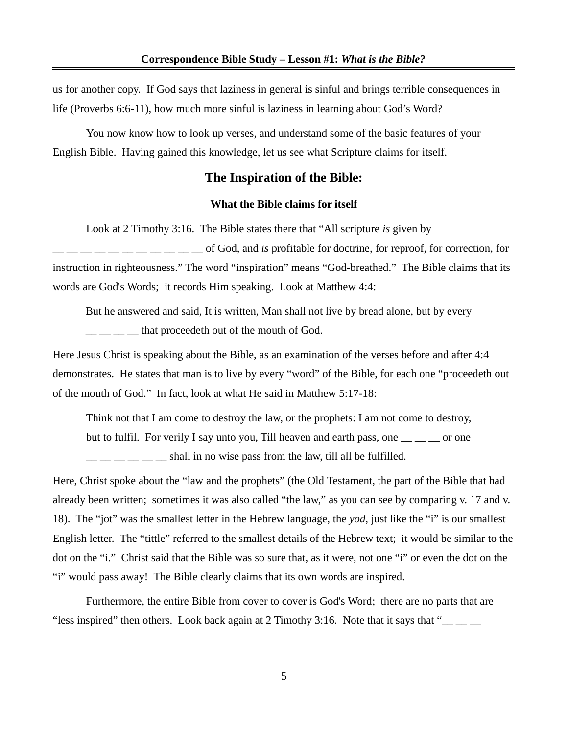us for another copy. If God says that laziness in general is sinful and brings terrible consequences in life (Proverbs 6:6-11), how much more sinful is laziness in learning about God's Word?

You now know how to look up verses, and understand some of the basic features of your English Bible. Having gained this knowledge, let us see what Scripture claims for itself.

### **The Inspiration of the Bible:**

### **What the Bible claims for itself**

Look at 2 Timothy 3:16. The Bible states there that "All scripture *is* given by

\_\_ \_\_ \_\_ \_\_ \_\_ \_\_ \_\_ \_\_ \_\_ \_\_ \_\_ of God, and *is* profitable for doctrine, for reproof, for correction, for instruction in righteousness." The word "inspiration" means "God-breathed." The Bible claims that its words are God's Words; it records Him speaking. Look at Matthew 4:4:

But he answered and said, It is written, Man shall not live by bread alone, but by every that proceedeth out of the mouth of God.

Here Jesus Christ is speaking about the Bible, as an examination of the verses before and after 4:4 demonstrates. He states that man is to live by every "word" of the Bible, for each one "proceedeth out of the mouth of God." In fact, look at what He said in Matthew 5:17-18:

Think not that I am come to destroy the law, or the prophets: I am not come to destroy, but to fulfil. For verily I say unto you, Till heaven and earth pass, one  $\frac{1}{\sqrt{2}}$  or one  $\frac{1}{\sqrt{2}}$  shall in no wise pass from the law, till all be fulfilled.

Here, Christ spoke about the "law and the prophets" (the Old Testament, the part of the Bible that had already been written; sometimes it was also called "the law," as you can see by comparing v. 17 and v. 18). The "jot" was the smallest letter in the Hebrew language, the *yod,* just like the "i" is our smallest English letter. The "tittle" referred to the smallest details of the Hebrew text; it would be similar to the dot on the "i." Christ said that the Bible was so sure that, as it were, not one "i" or even the dot on the "i" would pass away! The Bible clearly claims that its own words are inspired.

Furthermore, the entire Bible from cover to cover is God's Word; there are no parts that are "less inspired" then others. Look back again at 2 Timothy 3:16. Note that it says that " $\frac{1}{\sqrt{2}}$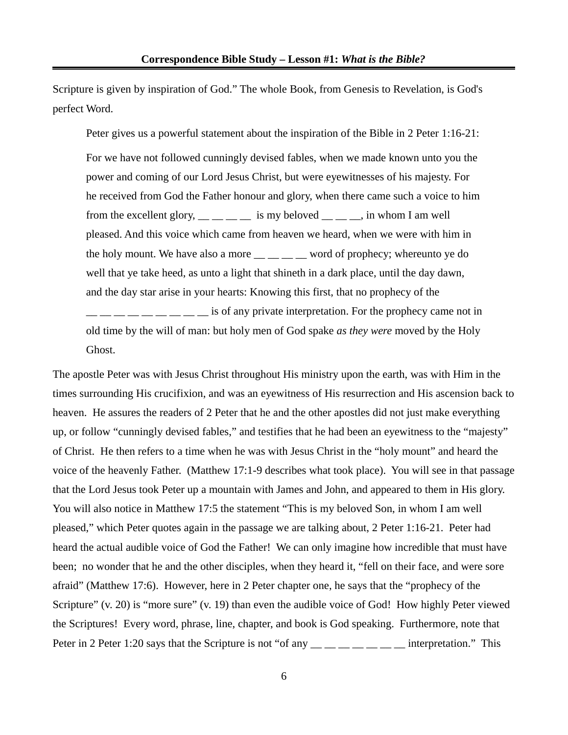Scripture is given by inspiration of God." The whole Book, from Genesis to Revelation, is God's perfect Word.

Peter gives us a powerful statement about the inspiration of the Bible in 2 Peter 1:16-21: For we have not followed cunningly devised fables, when we made known unto you the power and coming of our Lord Jesus Christ, but were eyewitnesses of his majesty. For he received from God the Father honour and glory, when there came such a voice to him from the excellent glory,  $\_\_\_\_\_\_\_\_\$  is my beloved  $\_\_\_\_\_\$  in whom I am well pleased. And this voice which came from heaven we heard, when we were with him in the holy mount. We have also a more  $\_\_\_\_\_\_\_\$ word of prophecy; whereunto ye do well that ye take heed, as unto a light that shineth in a dark place, until the day dawn, and the day star arise in your hearts: Knowing this first, that no prophecy of the  $\Box$   $\Box$  is of any private interpretation. For the prophecy came not in old time by the will of man: but holy men of God spake *as they were* moved by the Holy

#### Ghost.

The apostle Peter was with Jesus Christ throughout His ministry upon the earth, was with Him in the times surrounding His crucifixion, and was an eyewitness of His resurrection and His ascension back to heaven. He assures the readers of 2 Peter that he and the other apostles did not just make everything up, or follow "cunningly devised fables," and testifies that he had been an eyewitness to the "majesty" of Christ. He then refers to a time when he was with Jesus Christ in the "holy mount" and heard the voice of the heavenly Father. (Matthew 17:1-9 describes what took place). You will see in that passage that the Lord Jesus took Peter up a mountain with James and John, and appeared to them in His glory. You will also notice in Matthew 17:5 the statement "This is my beloved Son, in whom I am well pleased," which Peter quotes again in the passage we are talking about, 2 Peter 1:16-21. Peter had heard the actual audible voice of God the Father! We can only imagine how incredible that must have been; no wonder that he and the other disciples, when they heard it, "fell on their face, and were sore afraid" (Matthew 17:6). However, here in 2 Peter chapter one, he says that the "prophecy of the Scripture" (v. 20) is "more sure" (v. 19) than even the audible voice of God! How highly Peter viewed the Scriptures! Every word, phrase, line, chapter, and book is God speaking. Furthermore, note that Peter in 2 Peter 1:20 says that the Scripture is not "of any \_\_ \_ \_ \_ \_ \_ \_ \_ \_ interpretation." This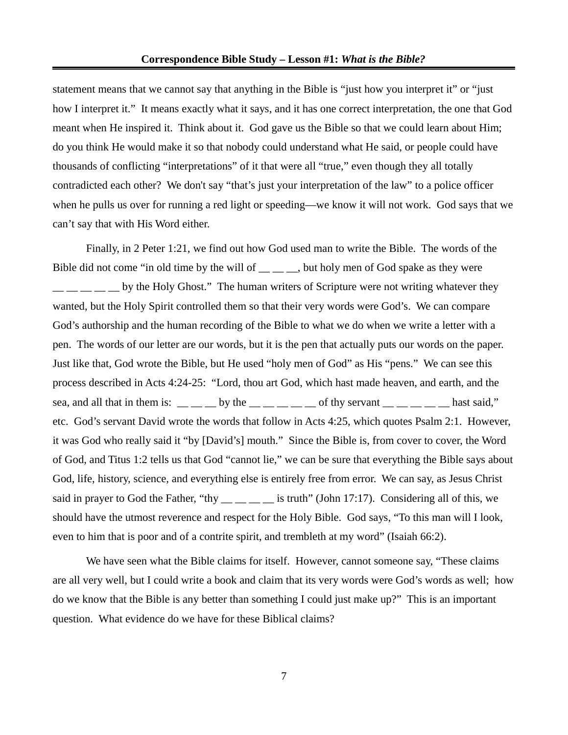statement means that we cannot say that anything in the Bible is "just how you interpret it" or "just how I interpret it." It means exactly what it says, and it has one correct interpretation, the one that God meant when He inspired it. Think about it. God gave us the Bible so that we could learn about Him; do you think He would make it so that nobody could understand what He said, or people could have thousands of conflicting "interpretations" of it that were all "true," even though they all totally contradicted each other? We don't say "that's just your interpretation of the law" to a police officer when he pulls us over for running a red light or speeding—we know it will not work. God says that we can't say that with His Word either.

Finally, in 2 Peter 1:21, we find out how God used man to write the Bible. The words of the Bible did not come "in old time by the will of  $\_\_\_\_\_$  but holy men of God spake as they were <u>\_</u> \_ by the Holy Ghost." The human writers of Scripture were not writing whatever they wanted, but the Holy Spirit controlled them so that their very words were God's. We can compare God's authorship and the human recording of the Bible to what we do when we write a letter with a pen. The words of our letter are our words, but it is the pen that actually puts our words on the paper. Just like that, God wrote the Bible, but He used "holy men of God" as His "pens." We can see this process described in Acts 4:24-25: "Lord, thou art God, which hast made heaven, and earth, and the sea, and all that in them is:  $\_\_$   $\_\_$  by the  $\_\_$   $\_\_$   $\_\_$  of thy servant  $\_\_$   $\_\_$   $\_\_$  hast said," etc. God's servant David wrote the words that follow in Acts 4:25, which quotes Psalm 2:1. However, it was God who really said it "by [David's] mouth." Since the Bible is, from cover to cover, the Word of God, and Titus 1:2 tells us that God "cannot lie," we can be sure that everything the Bible says about God, life, history, science, and everything else is entirely free from error. We can say, as Jesus Christ said in prayer to God the Father, "thy \_\_ \_ \_ \_ is truth" (John 17:17). Considering all of this, we should have the utmost reverence and respect for the Holy Bible. God says, "To this man will I look, even to him that is poor and of a contrite spirit, and trembleth at my word" (Isaiah 66:2).

We have seen what the Bible claims for itself. However, cannot someone say, "These claims are all very well, but I could write a book and claim that its very words were God's words as well; how do we know that the Bible is any better than something I could just make up?" This is an important question. What evidence do we have for these Biblical claims?

7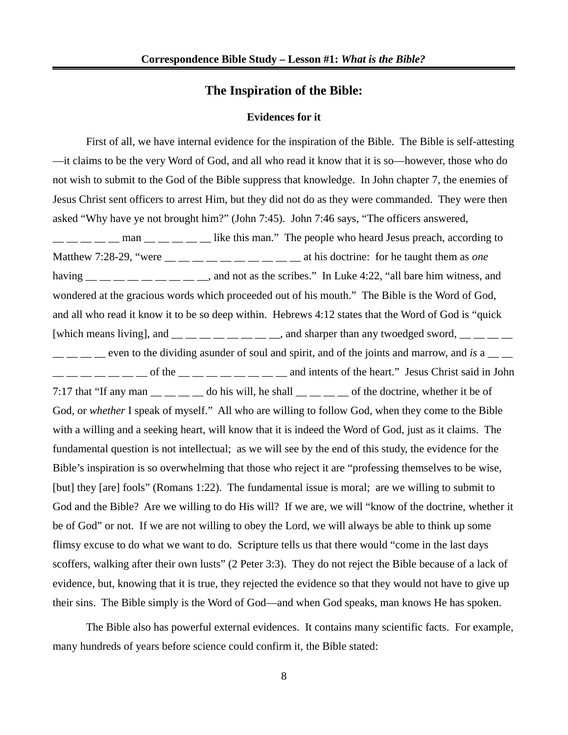### **The Inspiration of the Bible:**

#### **Evidences for it**

First of all, we have internal evidence for the inspiration of the Bible. The Bible is self-attesting —it claims to be the very Word of God, and all who read it know that it is so—however, those who do not wish to submit to the God of the Bible suppress that knowledge. In John chapter 7, the enemies of Jesus Christ sent officers to arrest Him, but they did not do as they were commanded. They were then asked "Why have ye not brought him?" (John 7:45). John 7:46 says, "The officers answered,  $\frac{1}{1}$   $\frac{1}{1}$   $\frac{1}{1}$   $\frac{1}{1}$  man  $\frac{1}{1}$   $\frac{1}{1}$   $\frac{1}{1}$   $\frac{1}{1}$  ike this man." The people who heard Jesus preach, according to Matthew 7:28-29, "were \_\_ \_ \_ \_ \_ \_ \_ \_ \_ \_ \_ \_ \_ at his doctrine: for he taught them as *one* having  $\frac{1}{1}$   $\frac{1}{1}$   $\frac{1}{1}$   $\frac{1}{1}$   $\frac{1}{1}$   $\frac{1}{1}$   $\frac{1}{1}$   $\frac{1}{1}$   $\frac{1}{1}$   $\frac{1}{1}$   $\frac{1}{1}$   $\frac{1}{1}$   $\frac{1}{1}$   $\frac{1}{1}$   $\frac{1}{1}$   $\frac{1}{1}$   $\frac{1}{1}$   $\frac{1}{1}$   $\frac{1}{1}$   $\frac{1}{1}$   $\frac{1}{1}$   $\frac{$ wondered at the gracious words which proceeded out of his mouth." The Bible is the Word of God, and all who read it know it to be so deep within. Hebrews 4:12 states that the Word of God is "quick [which means living], and  $\frac{m}{m}$   $\frac{m}{m}$   $\frac{m}{m}$   $\frac{m}{m}$  and sharper than any twoedged sword,  $\frac{m}{m}$   $\frac{m}{m}$   $\frac{m}{m}$ \_\_ \_\_ \_\_ \_\_ even to the dividing asunder of soul and spirit, and of the joints and marrow, and *is* a \_\_ \_\_  $\frac{1}{1}$   $\frac{1}{1}$   $\frac{1}{1}$   $\frac{1}{1}$   $\frac{1}{1}$   $\frac{1}{1}$  of the  $\frac{1}{1}$   $\frac{1}{1}$   $\frac{1}{1}$   $\frac{1}{1}$   $\frac{1}{1}$   $\frac{1}{1}$   $\frac{1}{1}$   $\frac{1}{1}$   $\frac{1}{1}$   $\frac{1}{1}$   $\frac{1}{1}$   $\frac{1}{1}$   $\frac{1}{1}$   $\frac{1}{1}$   $\frac{1}{1}$   $\frac{$ 7:17 that "If any man  $\_\_$   $\_\_$  do his will, he shall  $\_\_$   $\_\_$  of the doctrine, whether it be of God, or *whether* I speak of myself." All who are willing to follow God, when they come to the Bible with a willing and a seeking heart, will know that it is indeed the Word of God, just as it claims. The fundamental question is not intellectual; as we will see by the end of this study, the evidence for the Bible's inspiration is so overwhelming that those who reject it are "professing themselves to be wise, [but] they [are] fools" (Romans 1:22). The fundamental issue is moral; are we willing to submit to God and the Bible? Are we willing to do His will? If we are, we will "know of the doctrine, whether it be of God" or not. If we are not willing to obey the Lord, we will always be able to think up some flimsy excuse to do what we want to do. Scripture tells us that there would "come in the last days scoffers, walking after their own lusts" (2 Peter 3:3). They do not reject the Bible because of a lack of evidence, but, knowing that it is true, they rejected the evidence so that they would not have to give up their sins. The Bible simply is the Word of God—and when God speaks, man knows He has spoken.

The Bible also has powerful external evidences. It contains many scientific facts. For example, many hundreds of years before science could confirm it, the Bible stated: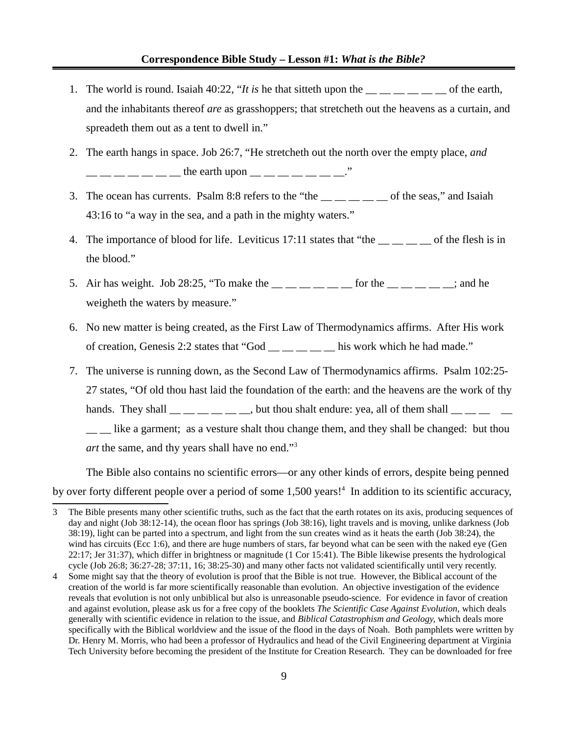- 1. The world is round. Isaiah 40:22, "*It is* he that sitteth upon the \_\_ \_\_ \_\_ \_\_ \_\_ \_\_ of the earth, and the inhabitants thereof *are* as grasshoppers; that stretcheth out the heavens as a curtain, and spreadeth them out as a tent to dwell in."
- 2. The earth hangs in space. Job 26:7, "He stretcheth out the north over the empty place, *and*  $\frac{1}{1}$   $\frac{1}{1}$   $\frac{1}{1}$   $\frac{1}{1}$   $\frac{1}{1}$   $\frac{1}{1}$  the earth upon  $\frac{1}{1}$   $\frac{1}{1}$   $\frac{1}{1}$   $\frac{1}{1}$   $\frac{1}{1}$   $\frac{1}{1}$   $\frac{1}{1}$   $\frac{1}{1}$   $\frac{1}{1}$   $\frac{1}{1}$   $\frac{1}{1}$   $\frac{1}{1}$   $\frac{1}{1}$   $\frac{1}{1}$   $\frac{1}{$
- 3. The ocean has currents. Psalm 8:8 refers to the "the  $\frac{1}{\sqrt{2}}$   $\frac{1}{\sqrt{2}}$  of the seas," and Isaiah 43:16 to "a way in the sea, and a path in the mighty waters."
- 4. The importance of blood for life. Leviticus 17:11 states that "the \_\_ \_ \_ \_ of the flesh is in the blood."
- 5. Air has weight. Job 28:25, "To make the  $\_\_$   $\_\_$   $\_\_$  for the  $\_\_$   $\_\_$   $\_\_$ ; and he weigheth the waters by measure."
- 6. No new matter is being created, as the First Law of Thermodynamics affirms. After His work of creation, Genesis 2:2 states that "God \_\_ \_ \_ \_ \_ \_ his work which he had made."
- 7. The universe is running down, as the Second Law of Thermodynamics affirms. Psalm 102:25- 27 states, "Of old thou hast laid the foundation of the earth: and the heavens are the work of thy hands. They shall  $\frac{m}{m}$   $\frac{m}{m}$   $\frac{m}{m}$   $\frac{m}{m}$ , but thou shalt endure: yea, all of them shall  $\frac{m}{m}$ \_\_ \_\_ like a garment; as a vesture shalt thou change them, and they shall be changed: but thou *art* the same, and thy years shall have no end."[3](#page-8-0)

The Bible also contains no scientific errors—or any other kinds of errors, despite being penned by over forty different people over a period of some 1,500 years!<sup>[4](#page-8-1)</sup> In addition to its scientific accuracy,

<span id="page-8-0"></span><sup>3</sup> The Bible presents many other scientific truths, such as the fact that the earth rotates on its axis, producing sequences of day and night (Job 38:12-14), the ocean floor has springs (Job 38:16), light travels and is moving, unlike darkness (Job 38:19), light can be parted into a spectrum, and light from the sun creates wind as it heats the earth (Job 38:24), the wind has circuits (Ecc 1:6), and there are huge numbers of stars, far beyond what can be seen with the naked eye (Gen 22:17; Jer 31:37), which differ in brightness or magnitude (1 Cor 15:41). The Bible likewise presents the hydrological cycle (Job 26:8; 36:27-28; 37:11, 16; 38:25-30) and many other facts not validated scientifically until very recently.

<span id="page-8-1"></span><sup>4</sup> Some might say that the theory of evolution is proof that the Bible is not true. However, the Biblical account of the creation of the world is far more scientifically reasonable than evolution. An objective investigation of the evidence reveals that evolution is not only unbiblical but also is unreasonable pseudo-science. For evidence in favor of creation and against evolution, please ask us for a free copy of the booklets *The Scientific Case Against Evolution,* which deals generally with scientific evidence in relation to the issue, and *Biblical Catastrophism and Geology,* which deals more specifically with the Biblical worldview and the issue of the flood in the days of Noah. Both pamphlets were written by Dr. Henry M. Morris, who had been a professor of Hydraulics and head of the Civil Engineering department at Virginia Tech University before becoming the president of the Institute for Creation Research. They can be downloaded for free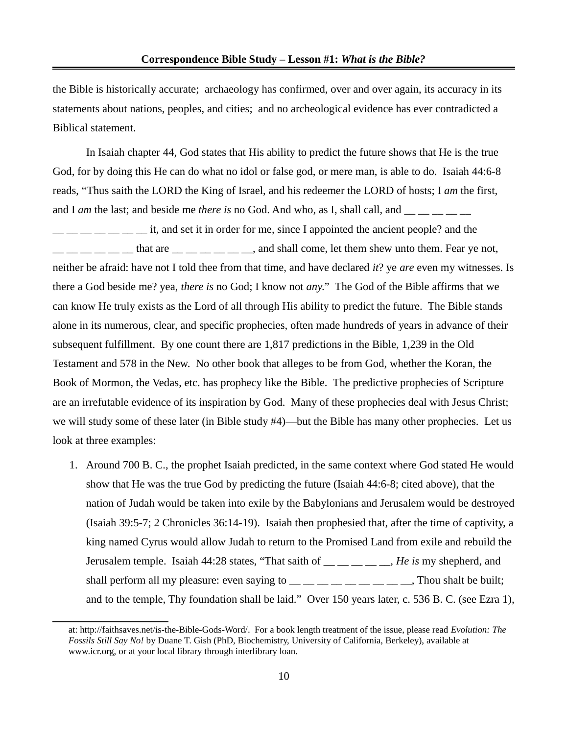the Bible is historically accurate; archaeology has confirmed, over and over again, its accuracy in its statements about nations, peoples, and cities; and no archeological evidence has ever contradicted a Biblical statement.

In Isaiah chapter 44, God states that His ability to predict the future shows that He is the true God, for by doing this He can do what no idol or false god, or mere man, is able to do. Isaiah 44:6-8 reads, "Thus saith the LORD the King of Israel, and his redeemer the LORD of hosts; I *am* the first, and I *am* the last; and beside me *there is* no God. And who, as I, shall call, and

 $\frac{1}{1}$   $\frac{1}{1}$   $\frac{1}{1}$   $\frac{1}{1}$   $\frac{1}{1}$   $\frac{1}{1}$   $\frac{1}{1}$  and set it in order for me, since I appointed the ancient people? and the  $\frac{1}{1}$   $\frac{1}{1}$   $\frac{1}{1}$   $\frac{1}{1}$   $\frac{1}{1}$  and shall come, let them shew unto them. Fear ye not, neither be afraid: have not I told thee from that time, and have declared *it*? ye *are* even my witnesses. Is there a God beside me? yea, *there is* no God; I know not *any*." The God of the Bible affirms that we can know He truly exists as the Lord of all through His ability to predict the future. The Bible stands alone in its numerous, clear, and specific prophecies, often made hundreds of years in advance of their subsequent fulfillment. By one count there are 1,817 predictions in the Bible, 1,239 in the Old Testament and 578 in the New. No other book that alleges to be from God, whether the Koran, the Book of Mormon, the Vedas, etc. has prophecy like the Bible. The predictive prophecies of Scripture are an irrefutable evidence of its inspiration by God. Many of these prophecies deal with Jesus Christ; we will study some of these later (in Bible study #4)—but the Bible has many other prophecies. Let us look at three examples:

1. Around 700 B. C., the prophet Isaiah predicted, in the same context where God stated He would show that He was the true God by predicting the future (Isaiah 44:6-8; cited above), that the nation of Judah would be taken into exile by the Babylonians and Jerusalem would be destroyed (Isaiah 39:5-7; 2 Chronicles 36:14-19). Isaiah then prophesied that, after the time of captivity, a king named Cyrus would allow Judah to return to the Promised Land from exile and rebuild the Jerusalem temple. Isaiah 44:28 states, "That saith of \_\_ \_\_ \_\_ \_\_ \_\_, *He is* my shepherd, and shall perform all my pleasure: even saying to  $\_\_\_\_\_\_\_ \_\_ \_\_ \_\_ \_ \$ . Thou shalt be built; and to the temple, Thy foundation shall be laid." Over 150 years later, c. 536 B. C. (see Ezra 1),

at: http://faithsaves.net/is-the-Bible-Gods-Word/. For a book length treatment of the issue, please read *Evolution: The Fossils Still Say No!* by Duane T. Gish (PhD, Biochemistry, University of California, Berkeley), available at www.icr.org, or at your local library through interlibrary loan.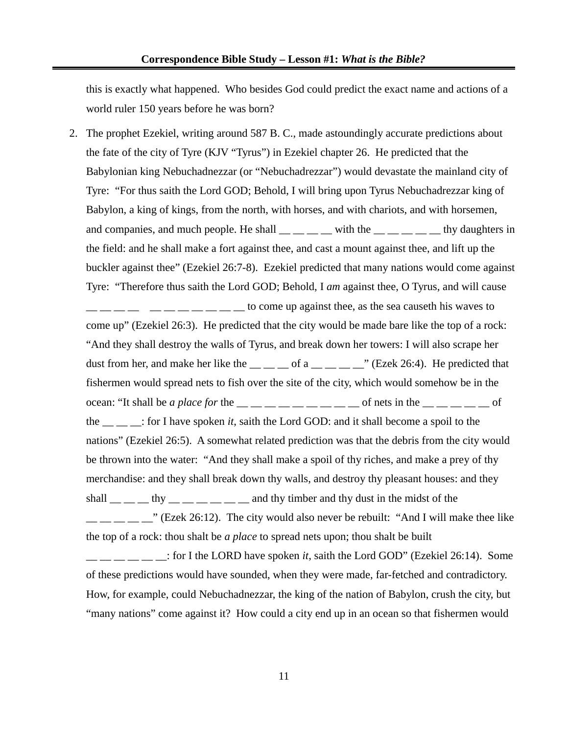this is exactly what happened. Who besides God could predict the exact name and actions of a world ruler 150 years before he was born?

2. The prophet Ezekiel, writing around 587 B. C., made astoundingly accurate predictions about the fate of the city of Tyre (KJV "Tyrus") in Ezekiel chapter 26. He predicted that the Babylonian king Nebuchadnezzar (or "Nebuchadrezzar") would devastate the mainland city of Tyre: "For thus saith the Lord GOD; Behold, I will bring upon Tyrus Nebuchadrezzar king of Babylon, a king of kings, from the north, with horses, and with chariots, and with horsemen, and companies, and much people. He shall  $\_\_\_\_\_\_\_\$  with the  $\_\_\_\_\_\_\_\$ thy daughters in the field: and he shall make a fort against thee, and cast a mount against thee, and lift up the buckler against thee" (Ezekiel 26:7-8). Ezekiel predicted that many nations would come against Tyre: "Therefore thus saith the Lord GOD; Behold, I *am* against thee, O Tyrus, and will cause

 $\frac{1}{1}$   $\frac{1}{1}$   $\frac{1}{1}$   $\frac{1}{1}$   $\frac{1}{1}$  to come up against thee, as the sea causeth his waves to come up" (Ezekiel 26:3). He predicted that the city would be made bare like the top of a rock: "And they shall destroy the walls of Tyrus, and break down her towers: I will also scrape her dust from her, and make her like the  $\_\_$   $\_\_$  of a  $\_\_$   $\_\_$   $\_\_$  (Ezek 26:4). He predicted that fishermen would spread nets to fish over the site of the city, which would somehow be in the ocean: "It shall be *a place for* the  $\_\_$   $\_\_$   $\_\_$   $\_\_$   $\_\_$  of nets in the  $\_\_$   $\_\_$   $\_\_$  of the \_\_ \_\_ \_\_: for I have spoken *it*, saith the Lord GOD: and it shall become a spoil to the nations" (Ezekiel 26:5). A somewhat related prediction was that the debris from the city would be thrown into the water: "And they shall make a spoil of thy riches, and make a prey of thy merchandise: and they shall break down thy walls, and destroy thy pleasant houses: and they shall  $\frac{1}{\sqrt{1-\frac{1}{\sqrt{1-\frac{1}{\sqrt{1-\frac{1}{\sqrt{1-\frac{1}{\sqrt{1-\frac{1}{\sqrt{1-\frac{1}{\sqrt{1-\frac{1}{\sqrt{1-\frac{1}{\sqrt{1-\frac{1}{\sqrt{1-\frac{1}{\sqrt{1-\frac{1}{\sqrt{1-\frac{1}{\sqrt{1-\frac{1}{\sqrt{1-\frac{1}{\sqrt{1-\frac{1}{\sqrt{1-\frac{1}{\sqrt{1-\frac{1}{\sqrt{1-\frac{1}{\sqrt{1-\frac{1}{\sqrt{1-\frac{1}{\sqrt{1-\frac{1}{\sqrt{1-\frac{1}{\sqrt{1-\frac{1}{\sqrt$  $\frac{1}{1}$   $\frac{1}{1}$   $\frac{1}{2}$   $\frac{1}{2}$   $\frac{1}{2}$   $\frac{1}{2}$ . The city would also never be rebuilt: "And I will make thee like the top of a rock: thou shalt be *a place* to spread nets upon; thou shalt be built

\_\_ \_\_ \_\_ \_\_ \_\_ \_\_: for I the LORD have spoken *it*, saith the Lord GOD" (Ezekiel 26:14). Some of these predictions would have sounded, when they were made, far-fetched and contradictory. How, for example, could Nebuchadnezzar, the king of the nation of Babylon, crush the city, but "many nations" come against it? How could a city end up in an ocean so that fishermen would

11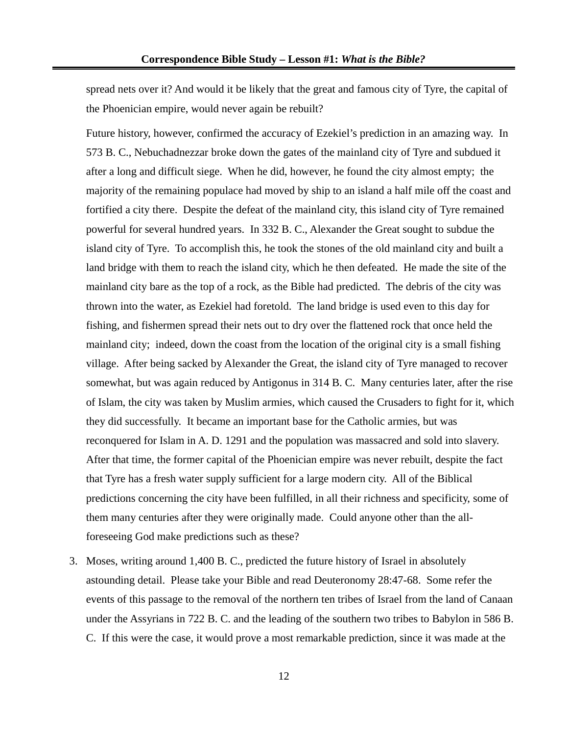spread nets over it? And would it be likely that the great and famous city of Tyre, the capital of the Phoenician empire, would never again be rebuilt?

Future history, however, confirmed the accuracy of Ezekiel's prediction in an amazing way. In 573 B. C., Nebuchadnezzar broke down the gates of the mainland city of Tyre and subdued it after a long and difficult siege. When he did, however, he found the city almost empty; the majority of the remaining populace had moved by ship to an island a half mile off the coast and fortified a city there. Despite the defeat of the mainland city, this island city of Tyre remained powerful for several hundred years. In 332 B. C., Alexander the Great sought to subdue the island city of Tyre. To accomplish this, he took the stones of the old mainland city and built a land bridge with them to reach the island city, which he then defeated. He made the site of the mainland city bare as the top of a rock, as the Bible had predicted. The debris of the city was thrown into the water, as Ezekiel had foretold. The land bridge is used even to this day for fishing, and fishermen spread their nets out to dry over the flattened rock that once held the mainland city; indeed, down the coast from the location of the original city is a small fishing village. After being sacked by Alexander the Great, the island city of Tyre managed to recover somewhat, but was again reduced by Antigonus in 314 B. C. Many centuries later, after the rise of Islam, the city was taken by Muslim armies, which caused the Crusaders to fight for it, which they did successfully. It became an important base for the Catholic armies, but was reconquered for Islam in A. D. 1291 and the population was massacred and sold into slavery. After that time, the former capital of the Phoenician empire was never rebuilt, despite the fact that Tyre has a fresh water supply sufficient for a large modern city. All of the Biblical predictions concerning the city have been fulfilled, in all their richness and specificity, some of them many centuries after they were originally made. Could anyone other than the allforeseeing God make predictions such as these?

3. Moses, writing around 1,400 B. C., predicted the future history of Israel in absolutely astounding detail. Please take your Bible and read Deuteronomy 28:47-68. Some refer the events of this passage to the removal of the northern ten tribes of Israel from the land of Canaan under the Assyrians in 722 B. C. and the leading of the southern two tribes to Babylon in 586 B. C. If this were the case, it would prove a most remarkable prediction, since it was made at the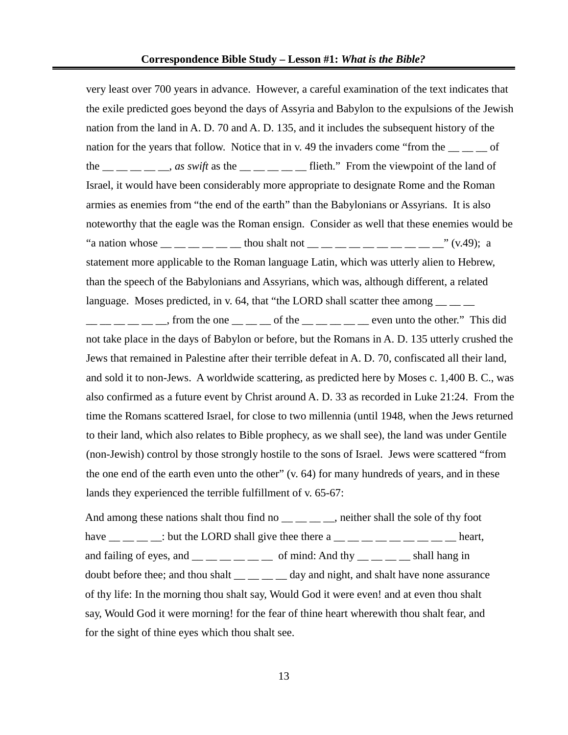very least over 700 years in advance. However, a careful examination of the text indicates that the exile predicted goes beyond the days of Assyria and Babylon to the expulsions of the Jewish nation from the land in A. D. 70 and A. D. 135, and it includes the subsequent history of the nation for the years that follow. Notice that in v. 49 the invaders come "from the  $\_\_$   $\_\_$  of the  $\frac{1}{1}$  \_\_ \_\_ \_\_ \_\_, *as swift* as the \_\_ \_\_ \_\_ \_\_ \_\_ flieth." From the viewpoint of the land of Israel, it would have been considerably more appropriate to designate Rome and the Roman armies as enemies from "the end of the earth" than the Babylonians or Assyrians. It is also noteworthy that the eagle was the Roman ensign. Consider as well that these enemies would be "a nation whose  $\frac{1}{1}$   $\frac{1}{1}$   $\frac{1}{1}$   $\frac{1}{1}$  thou shalt not  $\frac{1}{1}$   $\frac{1}{1}$   $\frac{1}{1}$   $\frac{1}{1}$   $\frac{1}{1}$   $\frac{1}{1}$   $\frac{1}{1}$   $\frac{1}{1}$   $\frac{1}{1}$   $\frac{1}{1}$   $\frac{1}{1}$   $\frac{1}{1}$   $\frac{1}{1}$   $\frac{1}{1}$   $\frac{1}{1}$  statement more applicable to the Roman language Latin, which was utterly alien to Hebrew, than the speech of the Babylonians and Assyrians, which was, although different, a related language. Moses predicted, in v. 64, that "the LORD shall scatter thee among  $\frac{1}{\sqrt{2}}$  $\frac{1}{1}$   $\frac{1}{1}$   $\frac{1}{2}$  from the one  $\frac{1}{1}$   $\frac{1}{2}$  of the  $\frac{1}{1}$   $\frac{1}{2}$   $\frac{1}{2}$   $\frac{1}{2}$  even unto the other." This did not take place in the days of Babylon or before, but the Romans in A. D. 135 utterly crushed the Jews that remained in Palestine after their terrible defeat in A. D. 70, confiscated all their land, and sold it to non-Jews. A worldwide scattering, as predicted here by Moses c. 1,400 B. C., was also confirmed as a future event by Christ around A. D. 33 as recorded in Luke 21:24. From the time the Romans scattered Israel, for close to two millennia (until 1948, when the Jews returned to their land, which also relates to Bible prophecy, as we shall see), the land was under Gentile (non-Jewish) control by those strongly hostile to the sons of Israel. Jews were scattered "from the one end of the earth even unto the other" (v. 64) for many hundreds of years, and in these

And among these nations shalt thou find no  $\frac{1}{1}$  =  $\frac{1}{1}$  neither shall the sole of thy foot have  $\frac{1}{\sqrt{2}}$   $\frac{1}{\sqrt{2}}$   $\frac{1}{\sqrt{2}}$  but the LORD shall give thee there a  $\frac{1}{\sqrt{2}}$   $\frac{1}{\sqrt{2}}$   $\frac{1}{\sqrt{2}}$   $\frac{1}{\sqrt{2}}$   $\frac{1}{\sqrt{2}}$  heart, and failing of eyes, and  $\frac{1}{\frac{1}{2}}$   $\frac{1}{\frac{1}{2}}$  of mind: And thy  $\frac{1}{\frac{1}{2}}$   $\frac{1}{\frac{1}{2}}$  shall hang in doubt before thee; and thou shalt \_\_ \_ \_ \_ day and night, and shalt have none assurance of thy life: In the morning thou shalt say, Would God it were even! and at even thou shalt say, Would God it were morning! for the fear of thine heart wherewith thou shalt fear, and for the sight of thine eyes which thou shalt see.

lands they experienced the terrible fulfillment of v. 65-67:

13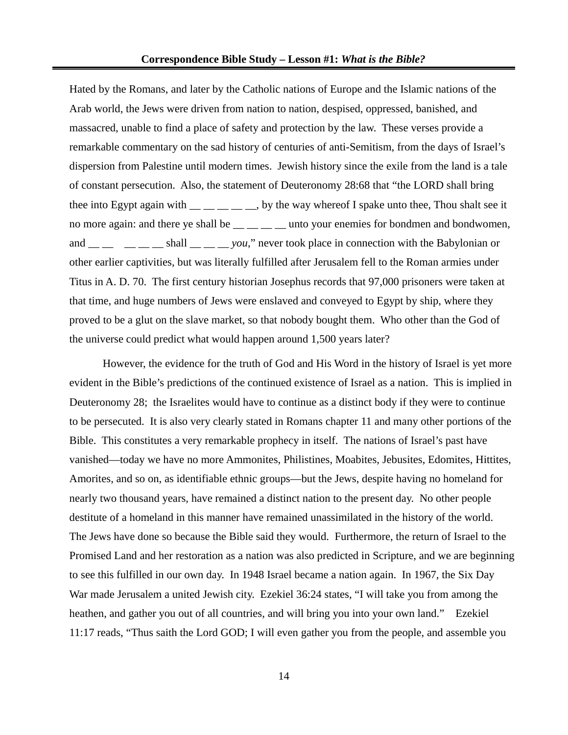Hated by the Romans, and later by the Catholic nations of Europe and the Islamic nations of the Arab world, the Jews were driven from nation to nation, despised, oppressed, banished, and massacred, unable to find a place of safety and protection by the law. These verses provide a remarkable commentary on the sad history of centuries of anti-Semitism, from the days of Israel's dispersion from Palestine until modern times. Jewish history since the exile from the land is a tale of constant persecution. Also, the statement of Deuteronomy 28:68 that "the LORD shall bring thee into Egypt again with  $\frac{1}{\sqrt{1-\frac{1}{\sqrt{1-\frac{1}{\sqrt{1-\frac{1}{\sqrt{1-\frac{1}{\sqrt{1-\frac{1}{\sqrt{1-\frac{1}{\sqrt{1-\frac{1}{\sqrt{1-\frac{1}{\sqrt{1-\frac{1}{\sqrt{1-\frac{1}{\sqrt{1-\frac{1}{\sqrt{1-\frac{1}{\sqrt{1-\frac{1}{\sqrt{1-\frac{1}{\sqrt{1-\frac{1}{\sqrt{1-\frac{1}{\sqrt{1-\frac{1}{\sqrt{1-\frac{1}{\sqrt{1-\frac{1}{\sqrt{1-\frac{1}{\sqrt{1-\frac{1$ no more again: and there ye shall be  $\frac{1}{1}$  =  $\frac{1}{1}$  unto your enemies for bondmen and bondwomen, and \_\_ \_ \_ \_ \_ \_ shall \_\_ \_ *you*," never took place in connection with the Babylonian or other earlier captivities, but was literally fulfilled after Jerusalem fell to the Roman armies under Titus in A. D. 70. The first century historian Josephus records that 97,000 prisoners were taken at that time, and huge numbers of Jews were enslaved and conveyed to Egypt by ship, where they proved to be a glut on the slave market, so that nobody bought them. Who other than the God of the universe could predict what would happen around 1,500 years later?

However, the evidence for the truth of God and His Word in the history of Israel is yet more evident in the Bible's predictions of the continued existence of Israel as a nation. This is implied in Deuteronomy 28; the Israelites would have to continue as a distinct body if they were to continue to be persecuted. It is also very clearly stated in Romans chapter 11 and many other portions of the Bible. This constitutes a very remarkable prophecy in itself. The nations of Israel's past have vanished—today we have no more Ammonites, Philistines, Moabites, Jebusites, Edomites, Hittites, Amorites, and so on, as identifiable ethnic groups—but the Jews, despite having no homeland for nearly two thousand years, have remained a distinct nation to the present day. No other people destitute of a homeland in this manner have remained unassimilated in the history of the world. The Jews have done so because the Bible said they would. Furthermore, the return of Israel to the Promised Land and her restoration as a nation was also predicted in Scripture, and we are beginning to see this fulfilled in our own day. In 1948 Israel became a nation again. In 1967, the Six Day War made Jerusalem a united Jewish city. Ezekiel 36:24 states, "I will take you from among the heathen, and gather you out of all countries, and will bring you into your own land." Ezekiel 11:17 reads, "Thus saith the Lord GOD; I will even gather you from the people, and assemble you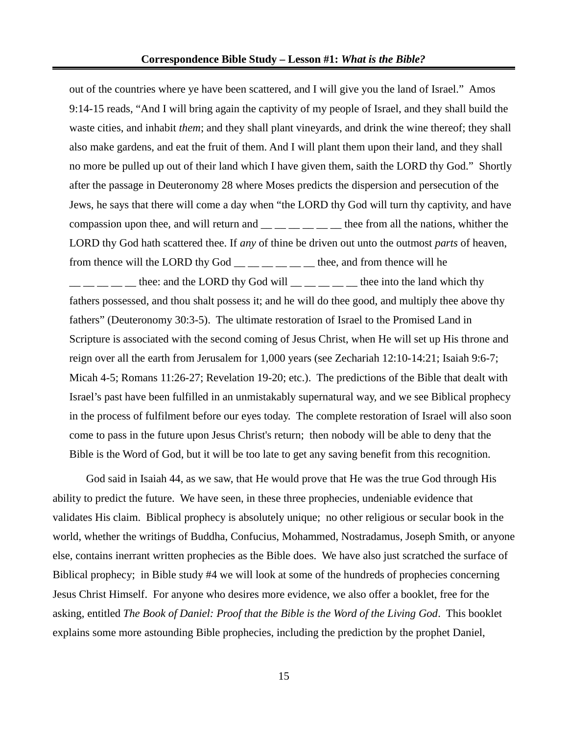out of the countries where ye have been scattered, and I will give you the land of Israel." Amos 9:14-15 reads, "And I will bring again the captivity of my people of Israel, and they shall build the waste cities, and inhabit *them*; and they shall plant vineyards, and drink the wine thereof; they shall also make gardens, and eat the fruit of them. And I will plant them upon their land, and they shall no more be pulled up out of their land which I have given them, saith the LORD thy God." Shortly after the passage in Deuteronomy 28 where Moses predicts the dispersion and persecution of the Jews, he says that there will come a day when "the LORD thy God will turn thy captivity, and have compassion upon thee, and will return and  $\_\_\_\_\_\_\_\_\_\_\$ thee from all the nations, whither the LORD thy God hath scattered thee. If *any* of thine be driven out unto the outmost *parts* of heaven, from thence will the LORD thy God  $\_\_$   $\_\_$   $\_\_$  thee, and from thence will he thee: and the LORD thy God will  $\frac{m}{m}$   $\frac{m}{m}$  =  $\frac{m}{m}$  thee into the land which thy fathers possessed, and thou shalt possess it; and he will do thee good, and multiply thee above thy fathers" (Deuteronomy 30:3-5). The ultimate restoration of Israel to the Promised Land in Scripture is associated with the second coming of Jesus Christ, when He will set up His throne and reign over all the earth from Jerusalem for 1,000 years (see Zechariah 12:10-14:21; Isaiah 9:6-7; Micah 4-5; Romans 11:26-27; Revelation 19-20; etc.). The predictions of the Bible that dealt with Israel's past have been fulfilled in an unmistakably supernatural way, and we see Biblical prophecy in the process of fulfilment before our eyes today. The complete restoration of Israel will also soon come to pass in the future upon Jesus Christ's return; then nobody will be able to deny that the Bible is the Word of God, but it will be too late to get any saving benefit from this recognition.

God said in Isaiah 44, as we saw, that He would prove that He was the true God through His ability to predict the future. We have seen, in these three prophecies, undeniable evidence that validates His claim. Biblical prophecy is absolutely unique; no other religious or secular book in the world, whether the writings of Buddha, Confucius, Mohammed, Nostradamus, Joseph Smith, or anyone else, contains inerrant written prophecies as the Bible does. We have also just scratched the surface of Biblical prophecy; in Bible study #4 we will look at some of the hundreds of prophecies concerning Jesus Christ Himself. For anyone who desires more evidence, we also offer a booklet, free for the asking, entitled *The Book of Daniel: Proof that the Bible is the Word of the Living God*. This booklet explains some more astounding Bible prophecies, including the prediction by the prophet Daniel,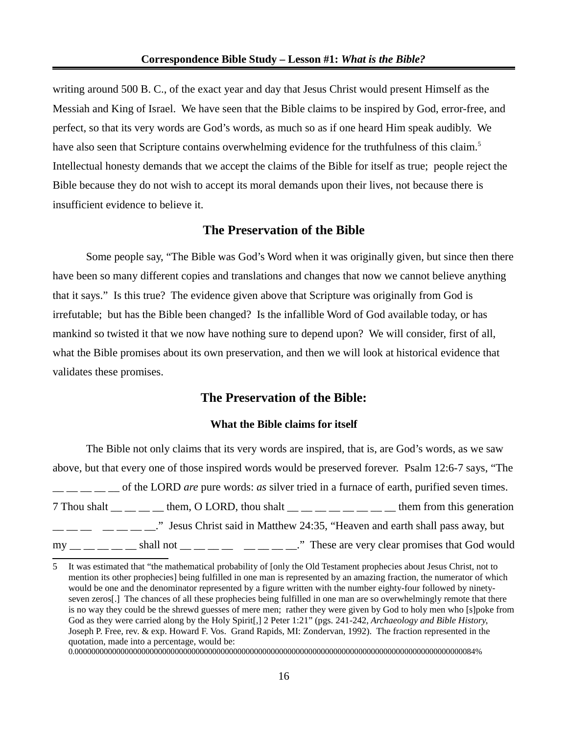writing around 500 B. C., of the exact year and day that Jesus Christ would present Himself as the Messiah and King of Israel. We have seen that the Bible claims to be inspired by God, error-free, and perfect, so that its very words are God's words, as much so as if one heard Him speak audibly. We have also seen that Scripture contains overwhelming evidence for the truthfulness of this claim.<sup>[5](#page-15-0)</sup> Intellectual honesty demands that we accept the claims of the Bible for itself as true; people reject the Bible because they do not wish to accept its moral demands upon their lives, not because there is insufficient evidence to believe it.

### **The Preservation of the Bible**

Some people say, "The Bible was God's Word when it was originally given, but since then there have been so many different copies and translations and changes that now we cannot believe anything that it says." Is this true? The evidence given above that Scripture was originally from God is irrefutable; but has the Bible been changed? Is the infallible Word of God available today, or has mankind so twisted it that we now have nothing sure to depend upon? We will consider, first of all, what the Bible promises about its own preservation, and then we will look at historical evidence that validates these promises.

### **The Preservation of the Bible:**

#### **What the Bible claims for itself**

The Bible not only claims that its very words are inspired, that is, are God's words, as we saw above, but that every one of those inspired words would be preserved forever. Psalm 12:6-7 says, "The \_\_ \_\_ \_\_ \_\_ \_\_ of the LORD *are* pure words: *as* silver tried in a furnace of earth, purified seven times. 7 Thou shalt  $\_\_$   $\_\_$  them, O LORD, thou shalt  $\_\_$   $\_\_$   $\_\_$   $\_\_$  them from this generation  $\frac{1}{2}$   $\frac{1}{2}$   $\frac{1}{2}$   $\frac{1}{2}$   $\frac{1}{2}$   $\frac{1}{2}$   $\frac{1}{2}$  Jesus Christ said in Matthew 24:35, "Heaven and earth shall pass away, but  $my \_\_\_\_\_\_\_$ shall not  $\_\_\_\_\_\_\_$   $\_\_\_\_$   $\_\_\_\_$ . These are very clear promises that God would

0.000000000000000000000000000000000000000000000000000000000000000000000000000000000000000000000084%

<span id="page-15-0"></span><sup>5</sup> It was estimated that "the mathematical probability of [only the Old Testament prophecies about Jesus Christ, not to mention its other prophecies] being fulfilled in one man is represented by an amazing fraction, the numerator of which would be one and the denominator represented by a figure written with the number eighty-four followed by ninetyseven zeros[.] The chances of all these prophecies being fulfilled in one man are so overwhelmingly remote that there is no way they could be the shrewd guesses of mere men; rather they were given by God to holy men who [s]poke from God as they were carried along by the Holy Spirit[,] 2 Peter 1:21" (pgs. 241-242, *Archaeology and Bible History*, Joseph P. Free, rev. & exp. Howard F. Vos. Grand Rapids, MI: Zondervan, 1992). The fraction represented in the quotation, made into a percentage, would be: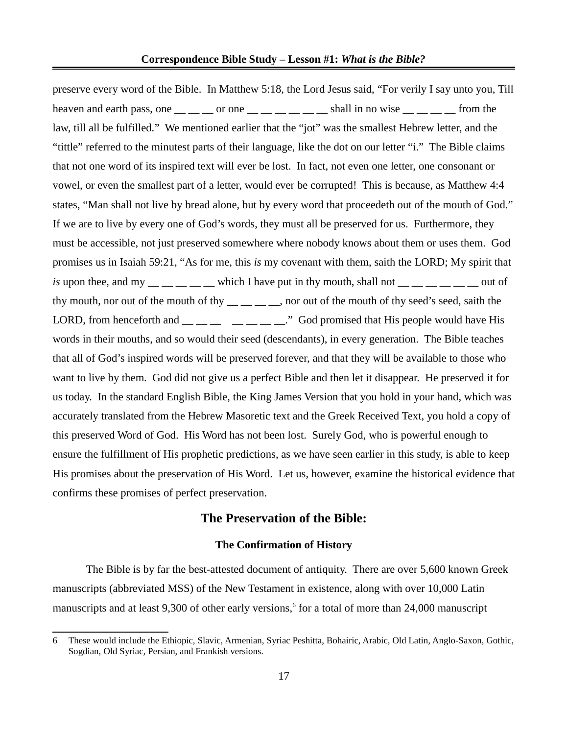preserve every word of the Bible. In Matthew 5:18, the Lord Jesus said, "For verily I say unto you, Till heaven and earth pass, one  $\frac{1}{\sqrt{1-\frac{1}{n}}}$  or one  $\frac{1}{\sqrt{1-\frac{1}{n}}}$   $\frac{1}{\sqrt{1-\frac{1}{n}}}$  shall in no wise  $\frac{1}{\sqrt{1-\frac{1}{n}}}$  from the law, till all be fulfilled." We mentioned earlier that the "jot" was the smallest Hebrew letter, and the "tittle" referred to the minutest parts of their language, like the dot on our letter "i." The Bible claims that not one word of its inspired text will ever be lost. In fact, not even one letter, one consonant or vowel, or even the smallest part of a letter, would ever be corrupted! This is because, as Matthew 4:4 states, "Man shall not live by bread alone, but by every word that proceedeth out of the mouth of God." If we are to live by every one of God's words, they must all be preserved for us. Furthermore, they must be accessible, not just preserved somewhere where nobody knows about them or uses them. God promises us in Isaiah 59:21, "As for me, this *is* my covenant with them, saith the LORD; My spirit that *is* upon thee, and my  $\frac{m}{m}$   $\frac{m}{m}$  which I have put in thy mouth, shall not  $\frac{m}{m}$   $\frac{m}{m}$   $\frac{m}{m}$  out of thy mouth, nor out of the mouth of thy  $\frac{1}{1-\frac{1}{1-\frac{1}{1-\frac{1}{1-\frac{1}{1-\frac{1}{1-\frac{1}{1-\frac{1}{1-\frac{1}{1-\frac{1}{1-\frac{1}{1-\frac{1}{1-\frac{1}{1-\frac{1}{1-\frac{1}{1-\frac{1}{1-\frac{1}{1-\frac{1}{1-\frac{1}{1-\frac{1}{1-\frac{1}{1-\frac{1}{1-\frac{1}{1-\frac{1}{1-\frac{1}{1-\frac{1}{1-\frac{1}{1-\frac{1}{1-\frac{1}{1-\frac{1}{1-\$ LORD, from henceforth and  $\frac{m}{m}$   $\frac{m}{m}$   $\frac{m}{m}$   $\frac{m}{m}$  God promised that His people would have His words in their mouths, and so would their seed (descendants), in every generation. The Bible teaches that all of God's inspired words will be preserved forever, and that they will be available to those who want to live by them. God did not give us a perfect Bible and then let it disappear. He preserved it for us today. In the standard English Bible, the King James Version that you hold in your hand, which was accurately translated from the Hebrew Masoretic text and the Greek Received Text, you hold a copy of this preserved Word of God. His Word has not been lost. Surely God, who is powerful enough to ensure the fulfillment of His prophetic predictions, as we have seen earlier in this study, is able to keep His promises about the preservation of His Word. Let us, however, examine the historical evidence that confirms these promises of perfect preservation.

### **The Preservation of the Bible:**

#### **The Confirmation of History**

The Bible is by far the best-attested document of antiquity. There are over 5,600 known Greek manuscripts (abbreviated MSS) of the New Testament in existence, along with over 10,000 Latin manuscripts and at least 9,300 of other early versions,<sup>[6](#page-16-0)</sup> for a total of more than 24,000 manuscript

<span id="page-16-0"></span><sup>6</sup> These would include the Ethiopic, Slavic, Armenian, Syriac Peshitta, Bohairic, Arabic, Old Latin, Anglo-Saxon, Gothic, Sogdian, Old Syriac, Persian, and Frankish versions.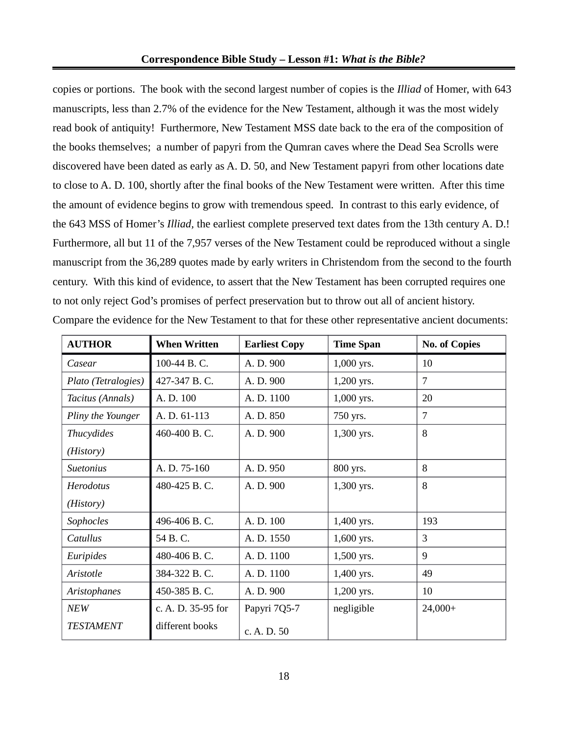copies or portions. The book with the second largest number of copies is the *Illiad* of Homer, with 643 manuscripts, less than 2.7% of the evidence for the New Testament, although it was the most widely read book of antiquity! Furthermore, New Testament MSS date back to the era of the composition of the books themselves; a number of papyri from the Qumran caves where the Dead Sea Scrolls were discovered have been dated as early as A. D. 50, and New Testament papyri from other locations date to close to A. D. 100, shortly after the final books of the New Testament were written. After this time the amount of evidence begins to grow with tremendous speed. In contrast to this early evidence, of the 643 MSS of Homer's *Illiad,* the earliest complete preserved text dates from the 13th century A. D.! Furthermore, all but 11 of the 7,957 verses of the New Testament could be reproduced without a single manuscript from the 36,289 quotes made by early writers in Christendom from the second to the fourth century. With this kind of evidence, to assert that the New Testament has been corrupted requires one to not only reject God's promises of perfect preservation but to throw out all of ancient history. Compare the evidence for the New Testament to that for these other representative ancient documents:

| <b>AUTHOR</b>       | <b>When Written</b> | <b>Earliest Copy</b> | <b>Time Span</b> | <b>No. of Copies</b> |
|---------------------|---------------------|----------------------|------------------|----------------------|
| Casear              | 100-44 B.C.         | A. D. 900            | $1,000$ yrs.     | 10                   |
| Plato (Tetralogies) | 427-347 B.C.        | A. D. 900            | 1,200 yrs.       | 7                    |
| Tacitus (Annals)    | A. D. 100           | A. D. 1100           | 1,000 yrs.       | 20                   |
| Pliny the Younger   | A. D. 61-113        | A. D. 850            | 750 yrs.         | 7                    |
| Thucydides          | 460-400 B.C.        | A. D. 900            | 1,300 yrs.       | 8                    |
| (History)           |                     |                      |                  |                      |
| <b>Suetonius</b>    | A. D. 75-160        | A. D. 950            | 800 yrs.         | 8                    |
| Herodotus           | 480-425 B.C.        | A. D. 900            | 1,300 yrs.       | 8                    |
| (History)           |                     |                      |                  |                      |
| Sophocles           | 496-406 B.C.        | A. D. 100            | 1,400 yrs.       | 193                  |
| Catullus            | 54 B.C.             | A. D. 1550           | 1,600 yrs.       | 3                    |
| Euripides           | 480-406 B.C.        | A. D. 1100           | 1,500 yrs.       | 9                    |
| Aristotle           | 384-322 B.C.        | A. D. 1100           | 1,400 yrs.       | 49                   |
| Aristophanes        | 450-385 B.C.        | A. D. 900            | $1,200$ yrs.     | 10                   |
| NEW                 | c. A. D. 35-95 for  | Papyri 7Q5-7         | negligible       | $24,000+$            |
| <b>TESTAMENT</b>    | different books     | c. A. D. 50          |                  |                      |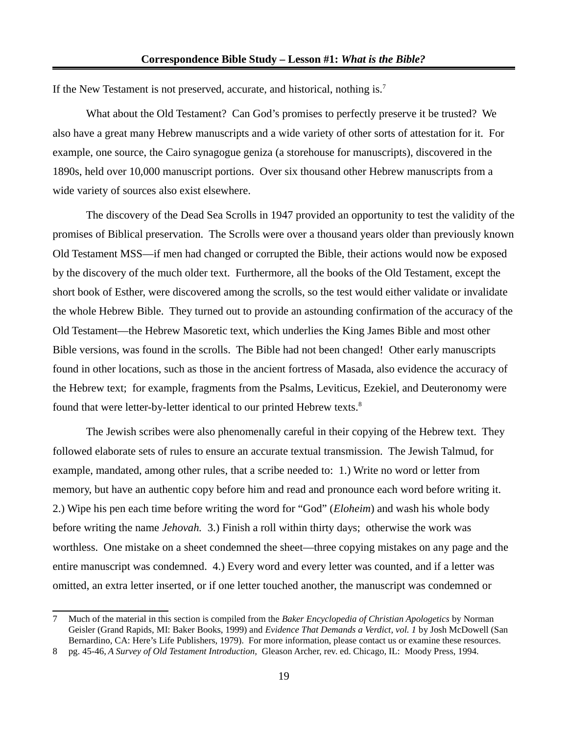If the New Testament is not preserved, accurate, and historical, nothing is.[7](#page-18-0)

What about the Old Testament? Can God's promises to perfectly preserve it be trusted? We also have a great many Hebrew manuscripts and a wide variety of other sorts of attestation for it. For example, one source, the Cairo synagogue geniza (a storehouse for manuscripts), discovered in the 1890s, held over 10,000 manuscript portions. Over six thousand other Hebrew manuscripts from a wide variety of sources also exist elsewhere.

The discovery of the Dead Sea Scrolls in 1947 provided an opportunity to test the validity of the promises of Biblical preservation. The Scrolls were over a thousand years older than previously known Old Testament MSS—if men had changed or corrupted the Bible, their actions would now be exposed by the discovery of the much older text. Furthermore, all the books of the Old Testament, except the short book of Esther, were discovered among the scrolls, so the test would either validate or invalidate the whole Hebrew Bible. They turned out to provide an astounding confirmation of the accuracy of the Old Testament—the Hebrew Masoretic text, which underlies the King James Bible and most other Bible versions, was found in the scrolls. The Bible had not been changed! Other early manuscripts found in other locations, such as those in the ancient fortress of Masada, also evidence the accuracy of the Hebrew text; for example, fragments from the Psalms, Leviticus, Ezekiel, and Deuteronomy were found that were letter-by-letter identical to our printed Hebrew texts.<sup>[8](#page-18-1)</sup>

The Jewish scribes were also phenomenally careful in their copying of the Hebrew text. They followed elaborate sets of rules to ensure an accurate textual transmission. The Jewish Talmud, for example, mandated, among other rules, that a scribe needed to: 1.) Write no word or letter from memory, but have an authentic copy before him and read and pronounce each word before writing it. 2.) Wipe his pen each time before writing the word for "God" (*Eloheim*) and wash his whole body before writing the name *Jehovah.* 3.) Finish a roll within thirty days; otherwise the work was worthless. One mistake on a sheet condemned the sheet—three copying mistakes on any page and the entire manuscript was condemned. 4.) Every word and every letter was counted, and if a letter was omitted, an extra letter inserted, or if one letter touched another, the manuscript was condemned or

<span id="page-18-0"></span><sup>7</sup> Much of the material in this section is compiled from the *Baker Encyclopedia of Christian Apologetics* by Norman Geisler (Grand Rapids, MI: Baker Books, 1999) and *Evidence That Demands a Verdict, vol. 1* by Josh McDowell (San Bernardino, CA: Here's Life Publishers, 1979). For more information, please contact us or examine these resources.

<span id="page-18-1"></span><sup>8</sup> pg. 45-46, *A Survey of Old Testament Introduction,* Gleason Archer, rev. ed. Chicago, IL: Moody Press, 1994.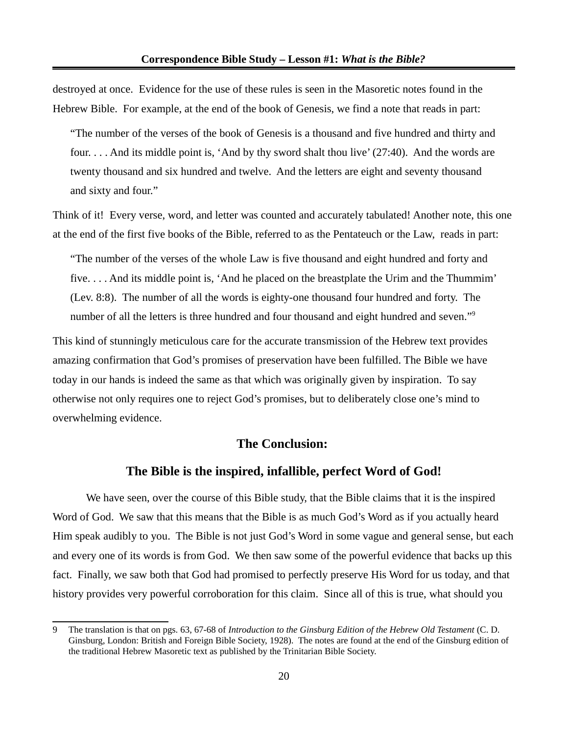destroyed at once. Evidence for the use of these rules is seen in the Masoretic notes found in the Hebrew Bible. For example, at the end of the book of Genesis, we find a note that reads in part:

"The number of the verses of the book of Genesis is a thousand and five hundred and thirty and four. . . . And its middle point is, 'And by thy sword shalt thou live' (27:40). And the words are twenty thousand and six hundred and twelve. And the letters are eight and seventy thousand and sixty and four."

Think of it! Every verse, word, and letter was counted and accurately tabulated! Another note, this one at the end of the first five books of the Bible, referred to as the Pentateuch or the Law, reads in part:

"The number of the verses of the whole Law is five thousand and eight hundred and forty and five. . . . And its middle point is, 'And he placed on the breastplate the Urim and the Thummim' (Lev. 8:8). The number of all the words is eighty-one thousand four hundred and forty. The number of all the letters is three hundred and four thousand and eight hundred and seven."<sup>[9](#page-19-0)</sup>

This kind of stunningly meticulous care for the accurate transmission of the Hebrew text provides amazing confirmation that God's promises of preservation have been fulfilled. The Bible we have today in our hands is indeed the same as that which was originally given by inspiration. To say otherwise not only requires one to reject God's promises, but to deliberately close one's mind to overwhelming evidence.

### **The Conclusion:**

#### **The Bible is the inspired, infallible, perfect Word of God!**

We have seen, over the course of this Bible study, that the Bible claims that it is the inspired Word of God. We saw that this means that the Bible is as much God's Word as if you actually heard Him speak audibly to you. The Bible is not just God's Word in some vague and general sense, but each and every one of its words is from God. We then saw some of the powerful evidence that backs up this fact. Finally, we saw both that God had promised to perfectly preserve His Word for us today, and that history provides very powerful corroboration for this claim. Since all of this is true, what should you

<span id="page-19-0"></span><sup>9</sup> The translation is that on pgs. 63, 67-68 of *Introduction to the Ginsburg Edition of the Hebrew Old Testament (C. D.* Ginsburg, London: British and Foreign Bible Society, 1928). The notes are found at the end of the Ginsburg edition of the traditional Hebrew Masoretic text as published by the Trinitarian Bible Society.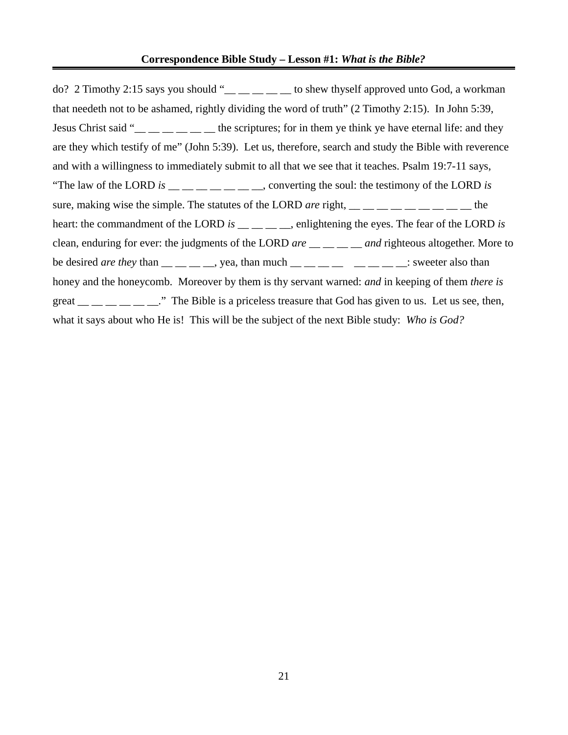#### **Correspondence Bible Study – Lesson #1:** *What is the Bible?*

do? 2 Timothy 2:15 says you should "<sub>\_\_\_\_\_\_\_\_\_</sub> to shew thyself approved unto God, a workman that needeth not to be ashamed, rightly dividing the word of truth" (2 Timothy 2:15). In John 5:39, Jesus Christ said "\_\_ \_\_ \_\_ \_\_ \_\_ \_\_ the scriptures; for in them ye think ye have eternal life: and they are they which testify of me" (John 5:39). Let us, therefore, search and study the Bible with reverence and with a willingness to immediately submit to all that we see that it teaches. Psalm 19:7-11 says, "The law of the LORD *is* \_\_\_\_\_\_\_\_\_\_\_\_\_\_\_\_, converting the soul: the testimony of the LORD *is* sure, making wise the simple. The statutes of the LORD *are* right, heart: the commandment of the LORD *is* \_\_ \_ \_ \_ \_ enlightening the eyes. The fear of the LORD *is* clean, enduring for ever: the judgments of the LORD *are* <sub>\_\_</sub> \_\_ \_ *and* righteous altogether. More to be desired *are they* than  $\frac{1}{\frac{1}{\sqrt{1-\frac{1}{n}}}$ , yea, than much  $\frac{1}{\sqrt{1-\frac{1}{n}}}$   $\frac{1}{\sqrt{1-\frac{1}{n}}}$  : sweeter also than honey and the honeycomb. Moreover by them is thy servant warned: *and* in keeping of them *there is* great  $\mu_1 \mu_2 \mu_3 \mu_4$ . The Bible is a priceless treasure that God has given to us. Let us see, then, what it says about who He is! This will be the subject of the next Bible study: *Who is God?*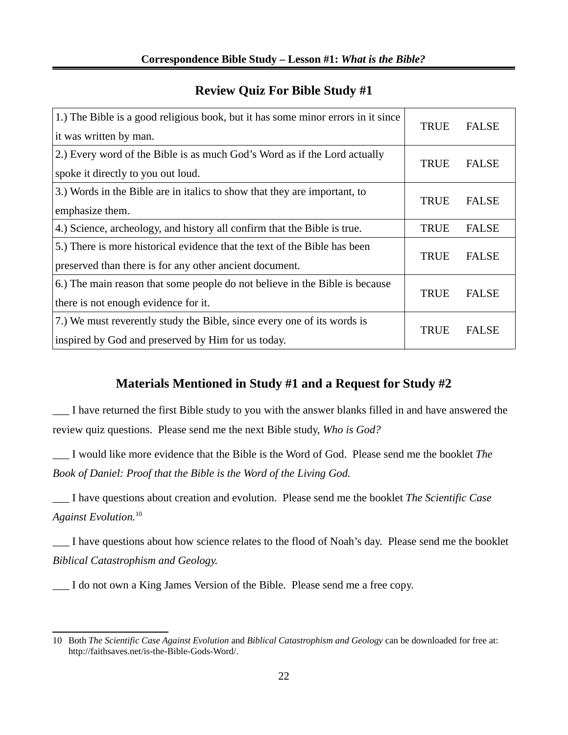| 1.) The Bible is a good religious book, but it has some minor errors in it since<br>it was written by man.                           | <b>TRUE</b> | <b>FALSE</b> |
|--------------------------------------------------------------------------------------------------------------------------------------|-------------|--------------|
| 2.) Every word of the Bible is as much God's Word as if the Lord actually<br>spoke it directly to you out loud.                      | <b>TRUE</b> | <b>FALSE</b> |
| 3.) Words in the Bible are in italics to show that they are important, to<br>emphasize them.                                         | <b>TRUE</b> | <b>FALSE</b> |
| 4.) Science, archeology, and history all confirm that the Bible is true.                                                             | <b>TRUE</b> | <b>FALSE</b> |
| 5.) There is more historical evidence that the text of the Bible has been<br>preserved than there is for any other ancient document. |             | <b>FALSE</b> |
| 6.) The main reason that some people do not believe in the Bible is because<br>there is not enough evidence for it.                  |             | <b>FALSE</b> |
| 7.) We must reverently study the Bible, since every one of its words is<br>inspired by God and preserved by Him for us today.        |             | <b>FALSE</b> |

# **Review Quiz For Bible Study #1**

# **Materials Mentioned in Study #1 and a Request for Study #2**

\_\_\_ I have returned the first Bible study to you with the answer blanks filled in and have answered the review quiz questions. Please send me the next Bible study, *Who is God?*

\_\_\_ I would like more evidence that the Bible is the Word of God. Please send me the booklet *The Book of Daniel: Proof that the Bible is the Word of the Living God.*

\_\_\_ I have questions about creation and evolution. Please send me the booklet *The Scientific Case Against Evolution.*[10](#page-21-0)

\_\_\_ I have questions about how science relates to the flood of Noah's day. Please send me the booklet *Biblical Catastrophism and Geology.*

*\_\_\_* I do not own a King James Version of the Bible. Please send me a free copy.

<span id="page-21-0"></span><sup>10</sup> Both *The Scientific Case Against Evolution* and *Biblical Catastrophism and Geology* can be downloaded for free at: http://faithsaves.net/is-the-Bible-Gods-Word/.